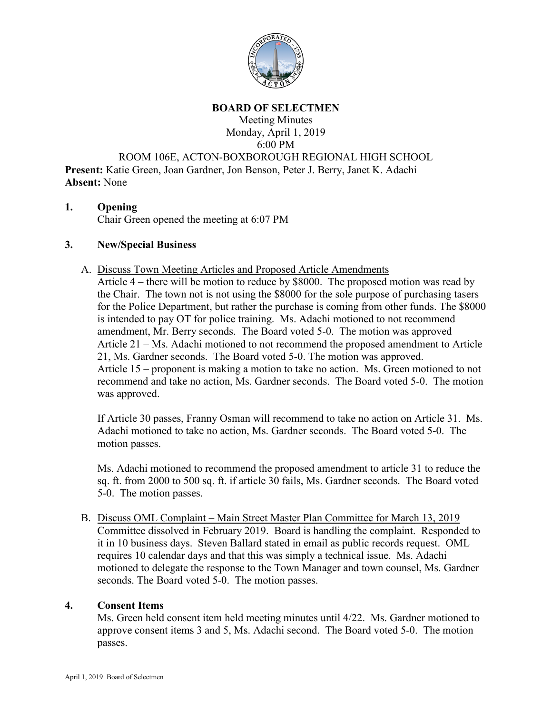

### **BOARD OF SELECTMEN**

Meeting Minutes Monday, April 1, 2019 6:00 PM

ROOM 106E, ACTON-BOXBOROUGH REGIONAL HIGH SCHOOL

**Present:** Katie Green, Joan Gardner, Jon Benson, Peter J. Berry, Janet K. Adachi **Absent:** None

## **1. Opening**

Chair Green opened the meeting at 6:07 PM

## **3. New/Special Business**

A. Discuss Town Meeting Articles and Proposed Article Amendments

Article 4 – there will be motion to reduce by \$8000. The proposed motion was read by the Chair. The town not is not using the \$8000 for the sole purpose of purchasing tasers for the Police Department, but rather the purchase is coming from other funds. The \$8000 is intended to pay OT for police training. Ms. Adachi motioned to not recommend amendment, Mr. Berry seconds. The Board voted 5-0. The motion was approved Article 21 – Ms. Adachi motioned to not recommend the proposed amendment to Article 21, Ms. Gardner seconds. The Board voted 5-0. The motion was approved. Article 15 – proponent is making a motion to take no action. Ms. Green motioned to not recommend and take no action, Ms. Gardner seconds. The Board voted 5-0. The motion was approved.

If Article 30 passes, Franny Osman will recommend to take no action on Article 31. Ms. Adachi motioned to take no action, Ms. Gardner seconds. The Board voted 5-0. The motion passes.

Ms. Adachi motioned to recommend the proposed amendment to article 31 to reduce the sq. ft. from 2000 to 500 sq. ft. if article 30 fails, Ms. Gardner seconds. The Board voted 5-0. The motion passes.

B. Discuss OML Complaint – Main Street Master Plan Committee for March 13, 2019 Committee dissolved in February 2019. Board is handling the complaint. Responded to it in 10 business days. Steven Ballard stated in email as public records request. OML requires 10 calendar days and that this was simply a technical issue. Ms. Adachi motioned to delegate the response to the Town Manager and town counsel, Ms. Gardner seconds. The Board voted 5-0. The motion passes.

## **4. Consent Items**

Ms. Green held consent item held meeting minutes until 4/22. Ms. Gardner motioned to approve consent items 3 and 5, Ms. Adachi second. The Board voted 5-0. The motion passes.